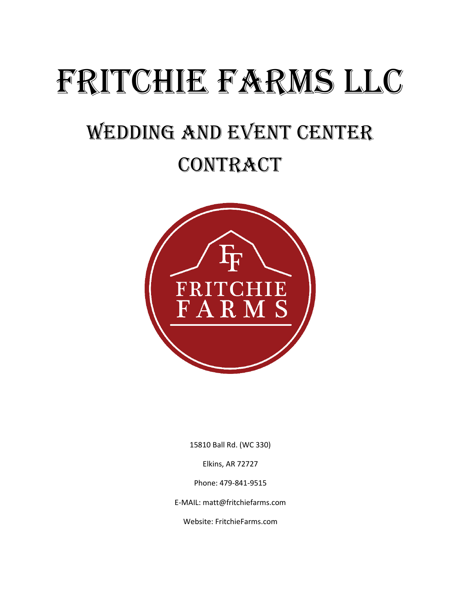# FRITCHIE FARMS LLC

## Wedding and Event Center

## **CONTRACT**



15810 Ball Rd. (WC 330)

Elkins, AR 72727

Phone: 479-841-9515

E-MAIL: matt@fritchiefarms.com

Website: FritchieFarms.com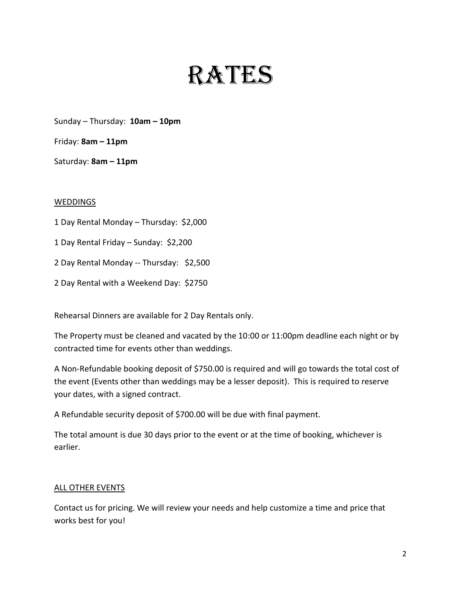# RATES

Sunday – Thursday: **10am – 10pm**

Friday: **8am – 11pm**

Saturday: **8am – 11pm**

#### **WEDDINGS**

1 Day Rental Monday – Thursday: \$2,000

1 Day Rental Friday – Sunday: \$2,200

2 Day Rental Monday -- Thursday: \$2,500

2 Day Rental with a Weekend Day: \$2750

Rehearsal Dinners are available for 2 Day Rentals only.

The Property must be cleaned and vacated by the 10:00 or 11:00pm deadline each night or by contracted time for events other than weddings.

A Non-Refundable booking deposit of \$750.00 is required and will go towards the total cost of the event (Events other than weddings may be a lesser deposit). This is required to reserve your dates, with a signed contract.

A Refundable security deposit of \$700.00 will be due with final payment.

The total amount is due 30 days prior to the event or at the time of booking, whichever is earlier.

#### ALL OTHER EVENTS

Contact us for pricing. We will review your needs and help customize a time and price that works best for you!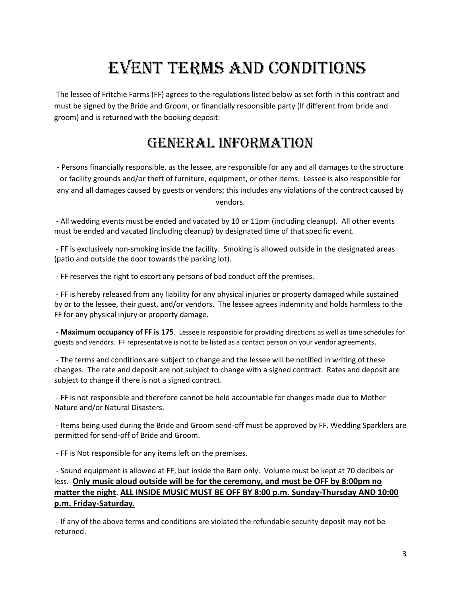## EVENT TERMS AND CONDITIONS

The lessee of Fritchie Farms (FF) agrees to the regulations listed below as set forth in this contract and must be signed by the Bride and Groom, or financially responsible party (If different from bride and groom) and is returned with the booking deposit:

#### General Information

- Persons financially responsible, as the lessee, are responsible for any and all damages to the structure or facility grounds and/or theft of furniture, equipment, or other items. Lessee is also responsible for any and all damages caused by guests or vendors; this includes any violations of the contract caused by vendors.

- All wedding events must be ended and vacated by 10 or 11pm (including cleanup). All other events must be ended and vacated (including cleanup) by designated time of that specific event.

- FF is exclusively non-smoking inside the facility. Smoking is allowed outside in the designated areas (patio and outside the door towards the parking lot).

- FF reserves the right to escort any persons of bad conduct off the premises.

- FF is hereby released from any liability for any physical injuries or property damaged while sustained by or to the lessee, their guest, and/or vendors. The lessee agrees indemnity and holds harmless to the FF for any physical injury or property damage.

- **Maximum occupancy of FF is 175**. Lessee is responsible for providing directions as well as time schedules for guests and vendors. FF representative is not to be listed as a contact person on your vendor agreements.

- The terms and conditions are subject to change and the lessee will be notified in writing of these changes. The rate and deposit are not subject to change with a signed contract. Rates and deposit are subject to change if there is not a signed contract.

- FF is not responsible and therefore cannot be held accountable for changes made due to Mother Nature and/or Natural Disasters.

- Items being used during the Bride and Groom send-off must be approved by FF. Wedding Sparklers are permitted for send-off of Bride and Groom.

- FF is Not responsible for any items left on the premises.

- Sound equipment is allowed at FF, but inside the Barn only. Volume must be kept at 70 decibels or less. **Only music aloud outside will be for the ceremony, and must be OFF by 8:00pm no matter the night**. **ALL INSIDE MUSIC MUST BE OFF BY 8:00 p.m. Sunday-Thursday AND 10:00 p.m. Friday-Saturday.**

- If any of the above terms and conditions are violated the refundable security deposit may not be returned.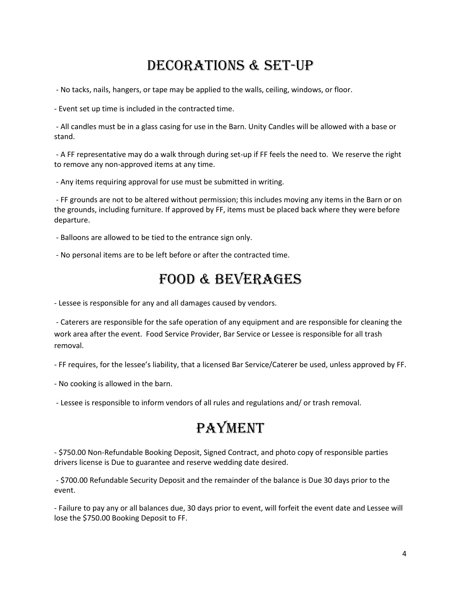#### Decorations & set-up

- No tacks, nails, hangers, or tape may be applied to the walls, ceiling, windows, or floor.

- Event set up time is included in the contracted time.

- All candles must be in a glass casing for use in the Barn. Unity Candles will be allowed with a base or stand.

- A FF representative may do a walk through during set-up if FF feels the need to. We reserve the right to remove any non-approved items at any time.

- Any items requiring approval for use must be submitted in writing.

- FF grounds are not to be altered without permission; this includes moving any items in the Barn or on the grounds, including furniture. If approved by FF, items must be placed back where they were before departure.

- Balloons are allowed to be tied to the entrance sign only.

- No personal items are to be left before or after the contracted time.

#### FOOD & BEVERAGES

- Lessee is responsible for any and all damages caused by vendors.

- Caterers are responsible for the safe operation of any equipment and are responsible for cleaning the work area after the event. Food Service Provider, Bar Service or Lessee is responsible for all trash removal.

- FF requires, for the lessee's liability, that a licensed Bar Service/Caterer be used, unless approved by FF.

- No cooking is allowed in the barn.

- Lessee is responsible to inform vendors of all rules and regulations and/ or trash removal.

### **PAYMENT**

- \$750.00 Non-Refundable Booking Deposit, Signed Contract, and photo copy of responsible parties drivers license is Due to guarantee and reserve wedding date desired.

- \$700.00 Refundable Security Deposit and the remainder of the balance is Due 30 days prior to the event.

- Failure to pay any or all balances due, 30 days prior to event, will forfeit the event date and Lessee will lose the \$750.00 Booking Deposit to FF.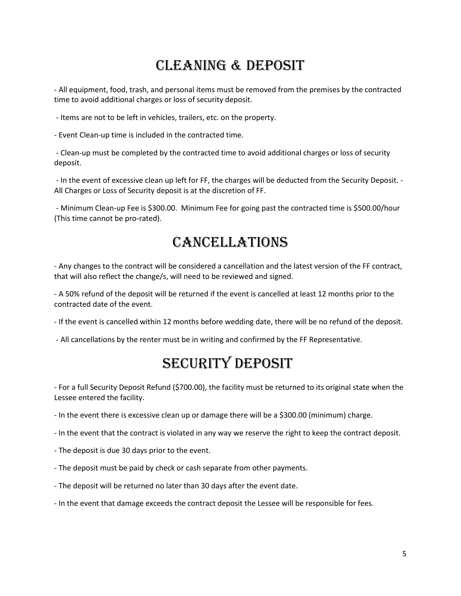### CLEANING & DEPOSIT

- All equipment, food, trash, and personal items must be removed from the premises by the contracted time to avoid additional charges or loss of security deposit.

- Items are not to be left in vehicles, trailers, etc. on the property.

- Event Clean-up time is included in the contracted time.

- Clean-up must be completed by the contracted time to avoid additional charges or loss of security deposit.

- In the event of excessive clean up left for FF, the charges will be deducted from the Security Deposit. - All Charges or Loss of Security deposit is at the discretion of FF.

- Minimum Clean-up Fee is \$300.00. Minimum Fee for going past the contracted time is \$500.00/hour (This time cannot be pro-rated).

#### **CANCELLATIONS**

- Any changes to the contract will be considered a cancellation and the latest version of the FF contract, that will also reflect the change/s, will need to be reviewed and signed.

- A 50% refund of the deposit will be returned if the event is cancelled at least 12 months prior to the contracted date of the event.

- If the event is cancelled within 12 months before wedding date, there will be no refund of the deposit.

- All cancellations by the renter must be in writing and confirmed by the FF Representative.

#### SECURITY DEPOSIT

- For a full Security Deposit Refund (\$700.00), the facility must be returned to its original state when the Lessee entered the facility.

- In the event there is excessive clean up or damage there will be a \$300.00 (minimum) charge.

- In the event that the contract is violated in any way we reserve the right to keep the contract deposit.
- The deposit is due 30 days prior to the event.
- The deposit must be paid by check or cash separate from other payments.
- The deposit will be returned no later than 30 days after the event date.
- In the event that damage exceeds the contract deposit the Lessee will be responsible for fees.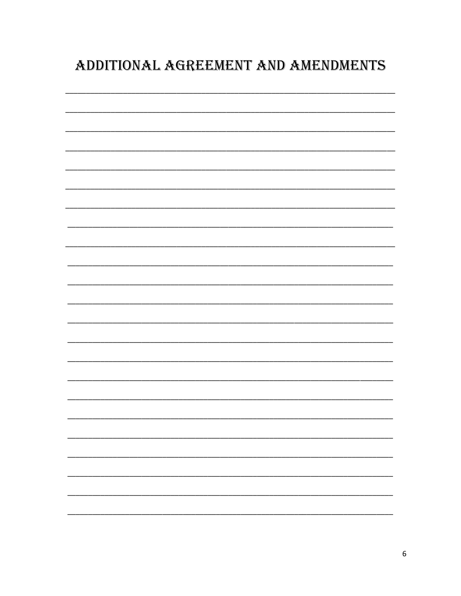### ADDITIONAL AGREEMENT AND AMENDMENTS

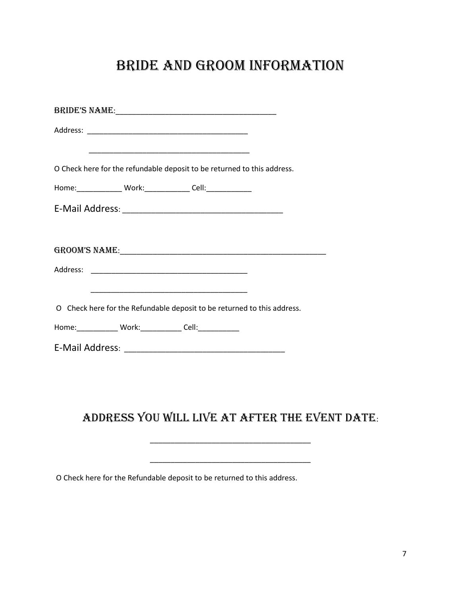#### Bride and Groom Information

|                                                                | O Check here for the refundable deposit to be returned to this address. |
|----------------------------------------------------------------|-------------------------------------------------------------------------|
| Home:________________ Work:_______________ Cell:______________ |                                                                         |
|                                                                |                                                                         |
|                                                                |                                                                         |
|                                                                |                                                                         |
|                                                                |                                                                         |
|                                                                |                                                                         |
|                                                                |                                                                         |
|                                                                |                                                                         |
|                                                                | O Check here for the Refundable deposit to be returned to this address. |
| Home:______________ Work:_____________ Cell:_____________      |                                                                         |
|                                                                |                                                                         |

#### Address you will live at after the event date:

\_\_\_\_\_\_\_\_\_\_\_\_\_\_\_\_\_\_\_\_\_\_\_\_\_\_\_\_\_\_\_\_\_\_\_\_\_\_\_

\_\_\_\_\_\_\_\_\_\_\_\_\_\_\_\_\_\_\_\_\_\_\_\_\_\_\_\_\_\_\_\_\_\_\_\_\_\_\_

O Check here for the Refundable deposit to be returned to this address.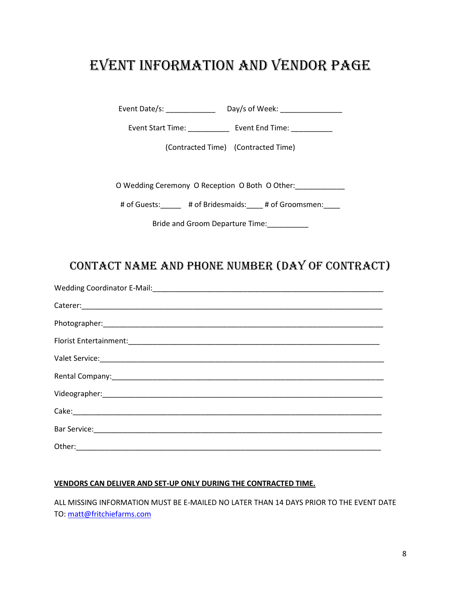#### EVENT INFORMATION AND VENDOR PAGE

Event Date/s: \_\_\_\_\_\_\_\_\_\_\_\_\_\_\_\_\_\_ Day/s of Week: \_\_\_\_\_\_\_\_\_\_\_\_\_\_\_\_\_\_\_\_\_\_\_\_\_\_\_\_\_\_\_\_

Event Start Time: \_\_\_\_\_\_\_\_\_\_\_\_\_\_\_ Event End Time: \_\_\_\_\_\_\_\_\_\_\_\_

(Contracted Time) (Contracted Time)

O Wedding Ceremony O Reception O Both O Other:\_\_\_\_\_\_\_\_\_\_\_\_

# of Guests: # of Bridesmaids: # of Groomsmen:

Bride and Groom Departure Time:\_\_\_\_\_\_\_\_\_\_

#### Contact Name and Phone Number (Day Of Contract)

#### **VENDORS CAN DELIVER AND SET-UP ONLY DURING THE CONTRACTED TIME.**

ALL MISSING INFORMATION MUST BE E-MAILED NO LATER THAN 14 DAYS PRIOR TO THE EVENT DATE TO: [matt@fritchiefarms.com](mailto:matt@fritchiefarms.com)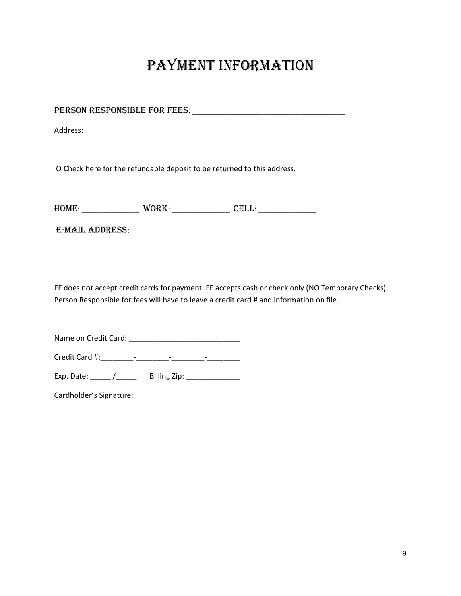## Payment Information

| <u> 1989 - Johann Barbara, martxa alemaniar arg</u><br>O Check here for the refundable deposit to be returned to this address. |
|--------------------------------------------------------------------------------------------------------------------------------|
|                                                                                                                                |
|                                                                                                                                |
|                                                                                                                                |
| FF does not accept credit cards for payment. FF accepts cash or check only (NO Temporary Checks).                              |
| Person Responsible for fees will have to leave a credit card # and information on file.                                        |
|                                                                                                                                |
|                                                                                                                                |

Exp. Date: \_\_\_\_\_ /\_\_\_\_\_ Billing Zip: \_\_\_\_\_\_\_\_\_\_\_\_\_

Cardholder's Signature: \_\_\_\_\_\_\_\_\_\_\_\_\_\_\_\_\_\_\_\_\_\_\_\_\_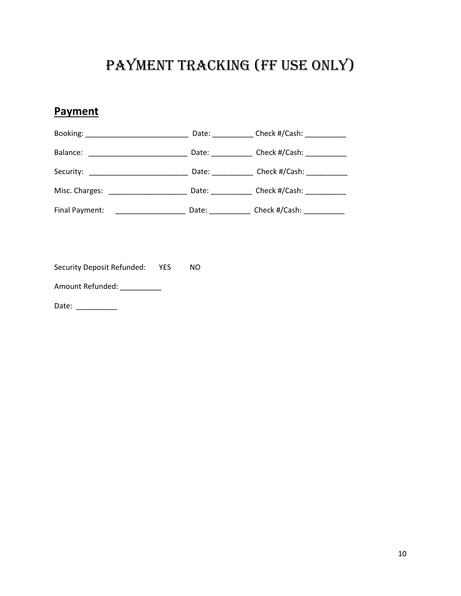### Payment Tracking (FF USE ONLY)

#### **Payment**

|                                                           | Date: $\frac{1}{2}$                                                                                                                                                                                                            | Check #/Cash: ___________ |
|-----------------------------------------------------------|--------------------------------------------------------------------------------------------------------------------------------------------------------------------------------------------------------------------------------|---------------------------|
| Balance:                                                  | Date: _________                                                                                                                                                                                                                | Check #/Cash:             |
| Security:                                                 | Date: the control of the control of the control of the control of the control of the control of the control of the control of the control of the control of the control of the control of the control of the control of the co | Check #/Cash: ___________ |
| Misc. Charges:<br><u> 1990 - Johann Barbara, martin a</u> | Date: <u>_______</u>                                                                                                                                                                                                           | Check #/Cash:             |
| Final Payment:                                            | Date:                                                                                                                                                                                                                          | Check #/Cash: __________  |

Security Deposit Refunded: YES NO

Amount Refunded: \_\_\_\_\_\_\_\_\_\_

Date: \_\_\_\_\_\_\_\_\_\_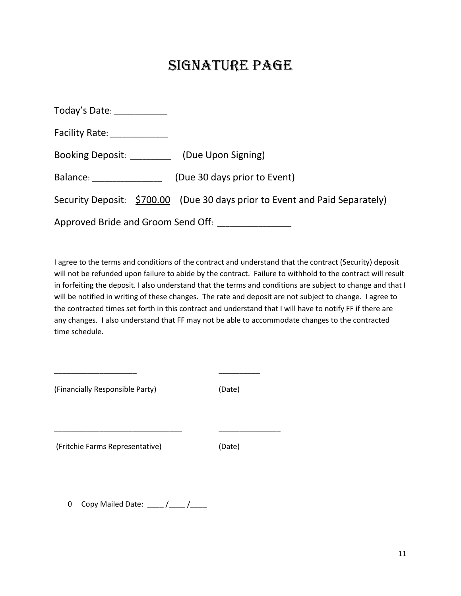#### Signature page

| Today's Date: ____________                                                                                                                                                                                                     |                                                                             |
|--------------------------------------------------------------------------------------------------------------------------------------------------------------------------------------------------------------------------------|-----------------------------------------------------------------------------|
| Facility Rate: ____________                                                                                                                                                                                                    |                                                                             |
| Booking Deposit: (Due Upon Signing)                                                                                                                                                                                            |                                                                             |
| Balance: and the state of the state of the state of the state of the state of the state of the state of the state of the state of the state of the state of the state of the state of the state of the state of the state of t | (Due 30 days prior to Event)                                                |
|                                                                                                                                                                                                                                | Security Deposit: \$700.00 (Due 30 days prior to Event and Paid Separately) |
|                                                                                                                                                                                                                                | Approved Bride and Groom Send Off: ________________                         |

I agree to the terms and conditions of the contract and understand that the contract (Security) deposit will not be refunded upon failure to abide by the contract. Failure to withhold to the contract will result in forfeiting the deposit. I also understand that the terms and conditions are subject to change and that I will be notified in writing of these changes. The rate and deposit are not subject to change. I agree to the contracted times set forth in this contract and understand that I will have to notify FF if there are any changes. I also understand that FF may not be able to accommodate changes to the contracted time schedule.

| (Financially Responsible Party) | (Date) |
|---------------------------------|--------|
| (Fritchie Farms Representative) | (Date) |

\_\_\_\_\_\_\_\_\_\_\_\_\_\_\_\_\_\_\_\_ \_\_\_\_\_\_\_\_\_\_

0 Copy Mailed Date: \_\_\_\_/\_\_\_\_/\_\_\_\_